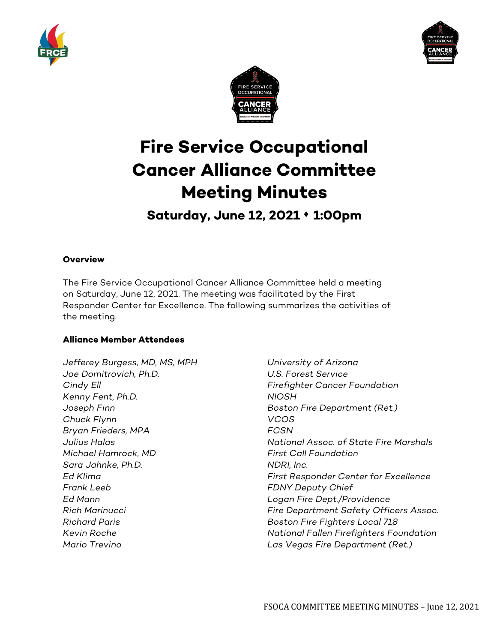





# **Fire Service Occupational Cancer Alliance Committee Meeting Minutes**

**Saturday, June 12, 2021 1:00pm**

## **Overview**

The Fire Service Occupational Cancer Alliance Committee held a meeting on Saturday, June 12, 2021. The meeting was facilitated by the First Responder Center for Excellence. The following summarizes the activities of the meeting.

## **Alliance Member Attendees**

*Jefferey Burgess, MD, MS, MPH University of Arizona Joe Domitrovich, Ph.D. U.S. Forest Service Kenny Fent, Ph.D. NIOSH Chuck Flynn VCOS Bryan Frieders, MPA FCSN Michael Hamrock, MD First Call Foundation Sara Jahnke, Ph.D. NDRI, Inc. Frank Leeb FDNY Deputy Chief Ed Mann Logan Fire Dept./Providence Richard Paris Boston Fire Fighters Local 718*

*Cindy Ell Firefighter Cancer Foundation Joseph Finn Boston Fire Department (Ret.) Julius Halas National Assoc. of State Fire Marshals Ed Klima First Responder Center for Excellence Rich Marinucci Fire Department Safety Officers Assoc. Kevin Roche National Fallen Firefighters Foundation Mario Trevino Las Vegas Fire Department (Ret.)*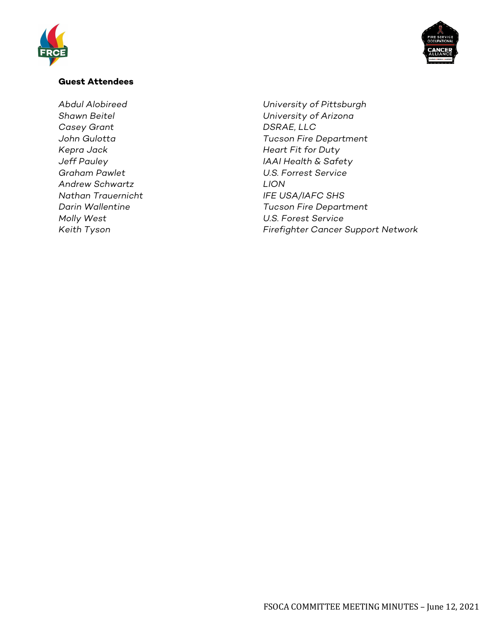



#### **Guest Attendees**

*Casey Grant DSRAE, LLC Kepra Jack Heart Fit for Duty Graham Pawlet U.S. Forrest Service Andrew Schwartz LION Nathan Trauernicht IFE USA/IAFC SHS Molly West U.S. Forest Service*

*Abdul Alobireed University of Pittsburgh Shawn Beitel University of Arizona John Gulotta Tucson Fire Department Jeff Pauley IAAI Health & Safety Darin Wallentine Tucson Fire Department Keith Tyson Firefighter Cancer Support Network*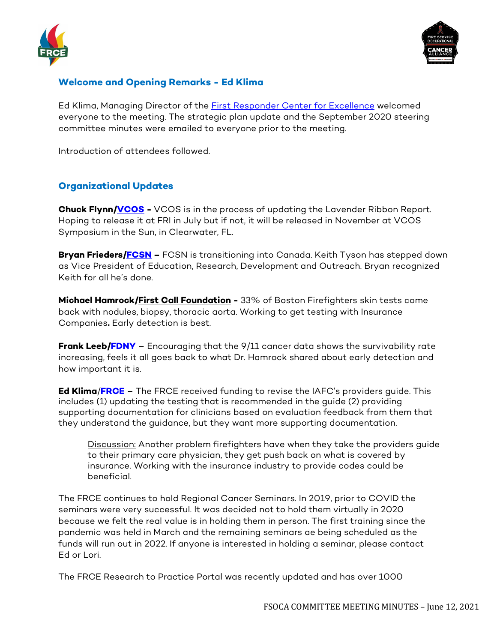



# **Welcome and Opening Remarks - Ed Klima**

Ed Klima, Managing Director of the [First Responder Center for Excellence](https://www.firstrespondercenter.org/cancer/) welcomed everyone to the meeting. The strategic plan update and the September 2020 steering committee minutes were emailed to everyone prior to the meeting.

Introduction of attendees followed.

# **Organizational Updates**

**Chuck Flynn[/VCOS](https://www.iafc.org/) -** VCOS is in the process of updating the Lavender Ribbon Report. Hoping to release it at FRI in July but if not, it will be released in November at VCOS Symposium in the Sun, in Clearwater, FL.

**Bryan Frieders[/FCSN](https://firefightercancersupport.org/) –** FCSN is transitioning into Canada. Keith Tyson has stepped down as Vice President of Education, Research, Development and Outreach. Bryan recognized Keith for all he's done.

**Michael Hamrock/First Call Foundation -** 33% of Boston Firefighters skin tests come back with nodules, biopsy, thoracic aorta. Working to get testing with Insurance Companies**.** Early detection is best.

**Frank Leeb[/FDNY](https://www1.nyc.gov/site/fdny/index.page)** - Encouraging that the 9/11 cancer data shows the survivability rate increasing, feels it all goes back to what Dr. Hamrock shared about early detection and how important it is.

**Ed Klima**/**[FRCE](https://www.firstrespondercenter.org/) –** The FRCE received funding to revise the IAFC's providers guide. This includes (1) updating the testing that is recommended in the guide (2) providing supporting documentation for clinicians based on evaluation feedback from them that they understand the guidance, but they want more supporting documentation.

Discussion: Another problem firefighters have when they take the providers guide to their primary care physician, they get push back on what is covered by insurance. Working with the insurance industry to provide codes could be beneficial.

The FRCE continues to hold Regional Cancer Seminars. In 2019, prior to COVID the seminars were very successful. It was decided not to hold them virtually in 2020 because we felt the real value is in holding them in person. The first training since the pandemic was held in March and the remaining seminars ae being scheduled as the funds will run out in 2022. If anyone is interested in holding a seminar, please contact Ed or Lori.

The FRCE Research to Practice Portal was recently updated and has over 1000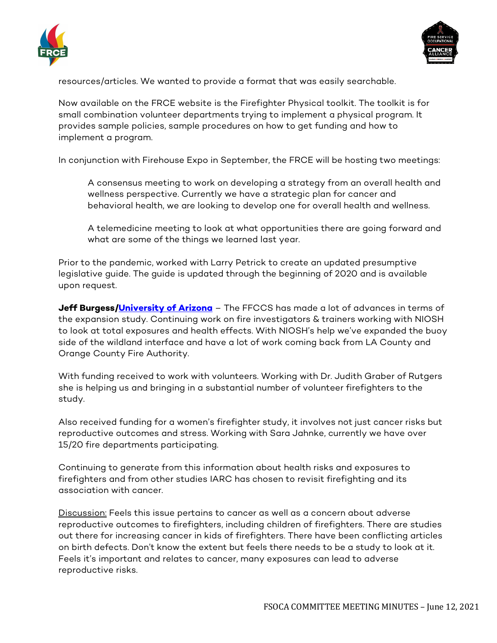



resources/articles. We wanted to provide a format that was easily searchable.

Now available on the FRCE website is the Firefighter Physical toolkit. The toolkit is for small combination volunteer departments trying to implement a physical program. It provides sample policies, sample procedures on how to get funding and how to implement a program.

In conjunction with Firehouse Expo in September, the FRCE will be hosting two meetings:

A consensus meeting to work on developing a strategy from an overall health and wellness perspective. Currently we have a strategic plan for cancer and behavioral health, we are looking to develop one for overall health and wellness.

A telemedicine meeting to look at what opportunities there are going forward and what are some of the things we learned last year.

Prior to the pandemic, worked with Larry Petrick to create an updated presumptive legislative guide. The guide is updated through the beginning of 2020 and is available upon request.

**Jeff Burgess[/University of Arizona](https://azprc.arizona.edu/)** – The FFCCS has made a lot of advances in terms of the expansion study. Continuing work on fire investigators & trainers working with NIOSH to look at total exposures and health effects. With NIOSH's help we've expanded the buoy side of the wildland interface and have a lot of work coming back from LA County and Orange County Fire Authority.

With funding received to work with volunteers. Working with Dr. Judith Graber of Rutgers she is helping us and bringing in a substantial number of volunteer firefighters to the study.

Also received funding for a women's firefighter study, it involves not just cancer risks but reproductive outcomes and stress. Working with Sara Jahnke, currently we have over 15/20 fire departments participating.

Continuing to generate from this information about health risks and exposures to firefighters and from other studies IARC has chosen to revisit firefighting and its association with cancer.

Discussion: Feels this issue pertains to cancer as well as a concern about adverse reproductive outcomes to firefighters, including children of firefighters. There are studies out there for increasing cancer in kids of firefighters. There have been conflicting articles on birth defects. Don't know the extent but feels there needs to be a study to look at it. Feels it's important and relates to cancer, many exposures can lead to adverse reproductive risks.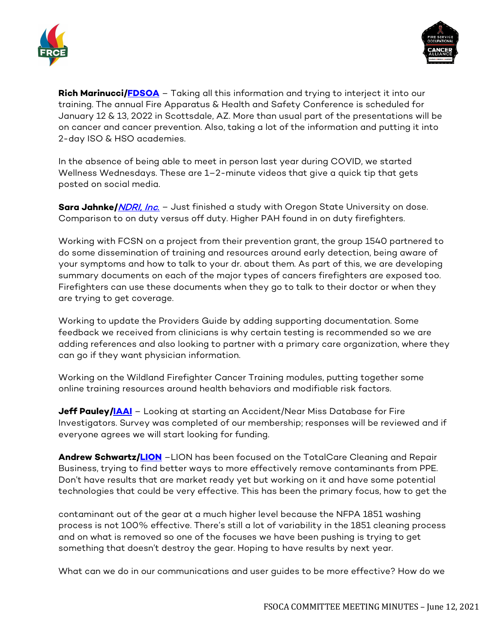



**Rich Marinucci[/FDSOA](https://www.fdsoa.org/)** - Taking all this information and trying to interject it into our training. The annual Fire Apparatus & Health and Safety Conference is scheduled for January 12 & 13, 2022 in Scottsdale, AZ. More than usual part of the presentations will be on cancer and cancer prevention. Also, taking a lot of the information and putting it into 2-day ISO & HSO academies.

In the absence of being able to meet in person last year during COVID, we started Wellness Wednesdays. These are 1–2-minute videos that give a quick tip that gets posted on social media.

**Sara Jahnke/***NDRI, Inc.* - Just finished a study with Oregon State University on dose. Comparison to on duty versus off duty. Higher PAH found in on duty firefighters.

Working with FCSN on a project from their prevention grant, the group 1540 partnered to do some dissemination of training and resources around early detection, being aware of your symptoms and how to talk to your dr. about them. As part of this, we are developing summary documents on each of the major types of cancers firefighters are exposed too. Firefighters can use these documents when they go to talk to their doctor or when they are trying to get coverage.

Working to update the Providers Guide by adding supporting documentation. Some feedback we received from clinicians is why certain testing is recommended so we are adding references and also looking to partner with a primary care organization, where they can go if they want physician information.

Working on the Wildland Firefighter Cancer Training modules, putting together some online training resources around health behaviors and modifiable risk factors.

**Jeff Pauley[/IAAI](https://www.firearson.com/)** – Looking at starting an Accident/Near Miss Database for Fire Investigators. Survey was completed of our membership; responses will be reviewed and if everyone agrees we will start looking for funding.

**Andrew Schwartz[/LION](https://www.lionprotects.com/)** –LION has been focused on the TotalCare Cleaning and Repair Business, trying to find better ways to more effectively remove contaminants from PPE. Don't have results that are market ready yet but working on it and have some potential technologies that could be very effective. This has been the primary focus, how to get the

contaminant out of the gear at a much higher level because the NFPA 1851 washing process is not 100% effective. There's still a lot of variability in the 1851 cleaning process and on what is removed so one of the focuses we have been pushing is trying to get something that doesn't destroy the gear. Hoping to have results by next year.

What can we do in our communications and user guides to be more effective? How do we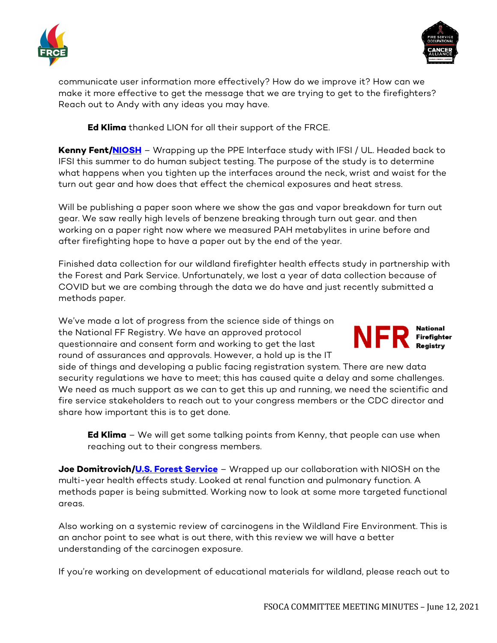



communicate user information more effectively? How do we improve it? How can we make it more effective to get the message that we are trying to get to the firefighters? Reach out to Andy with any ideas you may have.

**Ed Klima** thanked LION for all their support of the FRCE.

**Kenny Fent[/NIOSH](https://www.cdc.gov/niosh/index.htm)** – Wrapping up the PPE Interface study with IFSI / UL. Headed back to IFSI this summer to do human subject testing. The purpose of the study is to determine what happens when you tighten up the interfaces around the neck, wrist and waist for the turn out gear and how does that effect the chemical exposures and heat stress.

Will be publishing a paper soon where we show the gas and vapor breakdown for turn out gear. We saw really high levels of benzene breaking through turn out gear. and then working on a paper right now where we measured PAH metabylites in urine before and after firefighting hope to have a paper out by the end of the year.

Finished data collection for our wildland firefighter health effects study in partnership with the Forest and Park Service. Unfortunately, we lost a year of data collection because of COVID but we are combing through the data we do have and just recently submitted a methods paper.

We've made a lot of progress from the science side of things on the National FF Registry. We have an approved protocol questionnaire and consent form and working to get the last round of assurances and approvals. However, a hold up is the IT



side of things and developing a public facing registration system. There are new data security regulations we have to meet; this has caused quite a delay and some challenges. We need as much support as we can to get this up and running, we need the scientific and fire service stakeholders to reach out to your congress members or the CDC director and share how important this is to get done.

**Ed Klima** – We will get some talking points from Kenny, that people can use when reaching out to their congress members.

**Joe Domitrovich[/U.S. Forest Service](https://www.fs.usda.gov/)** – Wrapped up our collaboration with NIOSH on the multi-year health effects study. Looked at renal function and pulmonary function. A methods paper is being submitted. Working now to look at some more targeted functional areas.

Also working on a systemic review of carcinogens in the Wildland Fire Environment. This is an anchor point to see what is out there, with this review we will have a better understanding of the carcinogen exposure.

If you're working on development of educational materials for wildland, please reach out to